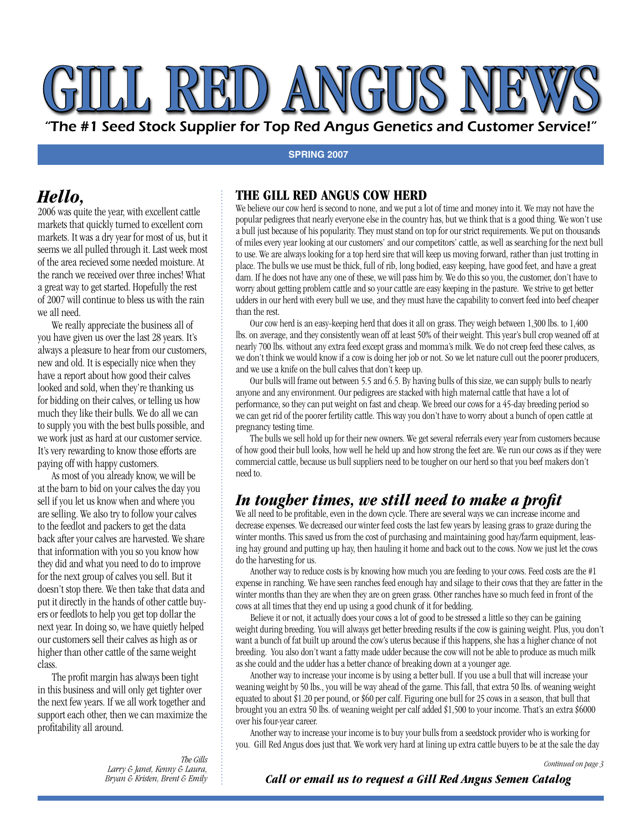# LL RED ANGUS

"The #1 Seed Stock Supplier for Top Red Angus Genetics and Customer Service!"

#### **SPRING 2007**

# *Hello,*

2006 was quite the year, with excellent cattle markets that quickly turned to excellent corn markets. It was a dry year for most of us, but it seems we all pulled through it. Last week most of the area recieved some needed moisture. At the ranch we received over three inches! What a great way to get started. Hopefully the rest of 2007 will continue to bless us with the rain we all need.

 We really appreciate the business all of you have given us over the last 28 years. It's always a pleasure to hear from our customers, new and old. It is especially nice when they have a report about how good their calves looked and sold, when they're thanking us for bidding on their calves, or telling us how much they like their bulls. We do all we can to supply you with the best bulls possible, and we work just as hard at our customer service. It's very rewarding to know those efforts are paying off with happy customers.

 As most of you already know, we will be at the barn to bid on your calves the day you sell if you let us know when and where you are selling. We also try to follow your calves to the feedlot and packers to get the data back after your calves are harvested. We share that information with you so you know how they did and what you need to do to improve for the next group of calves you sell. But it doesn't stop there. We then take that data and put it directly in the hands of other cattle buyers or feedlots to help you get top dollar the next year. In doing so, we have quietly helped our customers sell their calves as high as or higher than other cattle of the same weight class.

 The profit margin has always been tight in this business and will only get tighter over the next few years. If we all work together and support each other, then we can maximize the profitability all around.

### **THE GILL RED ANGUS COW HERD**

We believe our cow herd is second to none, and we put a lot of time and money into it. We may not have the popular pedigrees that nearly everyone else in the country has, but we think that is a good thing. We won't use a bull just because of his popularity. They must stand on top for our strict requirements. We put on thousands of miles every year looking at our customers' and our competitors' cattle, as well as searching for the next bull to use. We are always looking for a top herd sire that will keep us moving forward, rather than just trotting in place. The bulls we use must be thick, full of rib, long bodied, easy keeping, have good feet, and have a great dam. If he does not have any one of these, we will pass him by. We do this so you, the customer, don't have to worry about getting problem cattle and so your cattle are easy keeping in the pasture. We strive to get better udders in our herd with every bull we use, and they must have the capability to convert feed into beef cheaper than the rest.

 Our cow herd is an easy-keeping herd that does it all on grass. They weigh between 1,300 lbs. to 1,400 lbs. on average, and they consistently wean off at least 50% of their weight. This year's bull crop weaned off at nearly 700 lbs. without any extra feed except grass and momma's milk. We do not creep feed these calves, as we don't think we would know if a cow is doing her job or not. So we let nature cull out the poorer producers, and we use a knife on the bull calves that don't keep up.

 Our bulls will frame out between 5.5 and 6.5. By having bulls of this size, we can supply bulls to nearly anyone and any environment. Our pedigrees are stacked with high maternal cattle that have a lot of performance, so they can put weight on fast and cheap. We breed our cows for a 45-day breeding period so we can get rid of the poorer fertility cattle. This way you don't have to worry about a bunch of open cattle at pregnancy testing time.

 The bulls we sell hold up for their new owners. We get several referrals every year from customers because of how good their bull looks, how well he held up and how strong the feet are. We run our cows as if they were commercial cattle, because us bull suppliers need to be tougher on our herd so that you beef makers don't need to.

## *In tougher times, we still need to make a profit*

We all need to be profitable, even in the down cycle. There are several ways we can increase income and decrease expenses. We decreased our winter feed costs the last few years by leasing grass to graze during the winter months. This saved us from the cost of purchasing and maintaining good hay/farm equipment, leasing hay ground and putting up hay, then hauling it home and back out to the cows. Now we just let the cows do the harvesting for us.

 Another way to reduce costs is by knowing how much you are feeding to your cows. Feed costs are the #1 expense in ranching. We have seen ranches feed enough hay and silage to their cows that they are fatter in the winter months than they are when they are on green grass. Other ranches have so much feed in front of the cows at all times that they end up using a good chunk of it for bedding.

 Believe it or not, it actually does your cows a lot of good to be stressed a little so they can be gaining weight during breeding. You will always get better breeding results if the cow is gaining weight. Plus, you don't want a bunch of fat built up around the cow's uterus because if this happens, she has a higher chance of not breeding. You also don't want a fatty made udder because the cow will not be able to produce as much milk as she could and the udder has a better chance of breaking down at a younger age.

 Another way to increase your income is by using a better bull. If you use a bull that will increase your weaning weight by 50 lbs., you will be way ahead of the game. This fall, that extra 50 lbs. of weaning weight equated to about \$1.20 per pound, or \$60 per calf. Figuring one bull for 25 cows in a season, that bull that brought you an extra 50 lbs. of weaning weight per calf added \$1,500 to your income. That's an extra \$6000 over his four-year career.

 Another way to increase your income is to buy your bulls from a seedstock provider who is working for you. Gill Red Angus does just that. We work very hard at lining up extra cattle buyers to be at the sale the day

#### *Call or email us to request a Gill Red Angus Semen Catalog*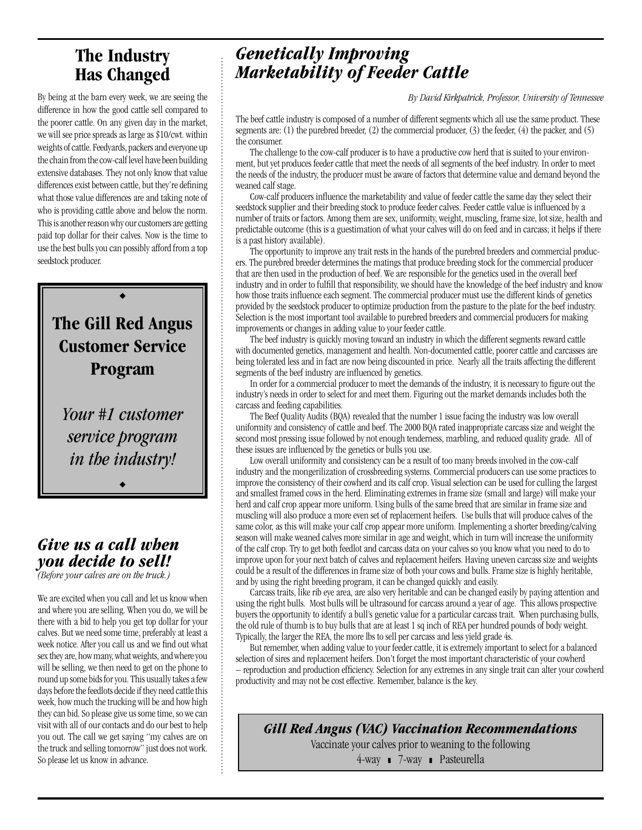## **The Industry Has Changed**

By being at the barn every week, we are seeing the difference in how the good cattle sell compared to the poorer cattle. On any given day in the market, we will see price spreads as large as \$10/cwt. within weights of cattle. Feedyards, packers and everyone up the chain from the cow-calf level have been building extensive databases. They not only know that value differences exist between cattle, but they're defining what those value differences are and taking note of who is providing cattle above and below the norm. This is another reason why our customers are getting paid top dollar for their calves. Now is the time to use the best bulls you can possibly afford from a top seedstock producer.



*Your #1 customer service program in the industry!*

 $\blacklozenge$ 

# *Give us a call when you decide to sell!*

*(Before your calves are on the truck.)*

We are excited when you call and let us know when and where you are selling. When you do, we will be there with a bid to help you get top dollar for your calves. But we need some time, preferably at least a week notice. After you call us and we find out what sex they are, how many, what weights, and where you will be selling, we then need to get on the phone to round up some bids for you. This usually takes a few days before the feedlots decide if they need cattle this week, how much the trucking will be and how high they can bid. So please give us some time, so we can visit with all of our contacts and do our best to help you out. The call we get saying "my calves are on the truck and selling tomorrow" just does not work. So please let us know in advance.

# *Genetically Improving Marketability of Feeder Cattle*

*By David Kirkpatrick, Professor, University of Tennessee*

The beef cattle industry is composed of a number of different segments which all use the same product. These segments are: (1) the purebred breeder, (2) the commercial producer, (3) the feeder, (4) the packer, and (5) the consumer.

 The challenge to the cow-calf producer is to have a productive cow herd that is suited to your environment, but yet produces feeder cattle that meet the needs of all segments of the beef industry. In order to meet the needs of the industry, the producer must be aware of factors that determine value and demand beyond the weaned calf stage.

 Cow-calf producers influence the marketability and value of feeder cattle the same day they select their seedstock supplier and their breeding stock to produce feeder calves. Feeder cattle value is influenced by a number of traits or factors. Among them are sex, uniformity, weight, muscling, frame size, lot size, health and predictable outcome (this is a guestimation of what your calves will do on feed and in carcass; it helps if there is a past history available).

 The opportunity to improve any trait rests in the hands of the purebred breeders and commercial producers. The purebred breeder determines the matings that produce breeding stock for the commercial producer that are then used in the production of beef. We are responsible for the genetics used in the overall beef industry and in order to fulfill that responsibility, we should have the knowledge of the beef industry and know how those traits influence each segment. The commercial producer must use the different kinds of genetics provided by the seedstock producer to optimize production from the pasture to the plate for the beef industry. Selection is the most important tool available to purebred breeders and commercial producers for making improvements or changes in adding value to your feeder cattle.

 The beef industry is quickly moving toward an industry in which the different segments reward cattle with documented genetics, management and health. Non-documented cattle, poorer cattle and carcasses are being tolerated less and in fact are now being discounted in price. Nearly all the traits affecting the different segments of the beef industry are influenced by genetics.

 In order for a commercial producer to meet the demands of the industry, it is necessary to figure out the industry's needs in order to select for and meet them. Figuring out the market demands includes both the carcass and feeding capabilities.

 The Beef Quality Audits (BQA) revealed that the number 1 issue facing the industry was low overall uniformity and consistency of cattle and beef. The 2000 BQA rated inappropriate carcass size and weight the second most pressing issue followed by not enough tenderness, marbling, and reduced quality grade. All of these issues are influenced by the genetics or bulls you use.

 Low overall uniformity and consistency can be a result of too many breeds involved in the cow-calf industry and the mongerilization of crossbreeding systems. Commercial producers can use some practices to improve the consistency of their cowherd and its calf crop. Visual selection can be used for culling the largest and smallest framed cows in the herd. Eliminating extremes in frame size (small and large) will make your herd and calf crop appear more uniform. Using bulls of the same breed that are similar in frame size and muscling will also produce a more even set of replacement heifers. Use bulls that will produce calves of the same color, as this will make your calf crop appear more uniform. Implementing a shorter breeding/calving season will make weaned calves more similar in age and weight, which in turn will increase the uniformity of the calf crop. Try to get both feedlot and carcass data on your calves so you know what you need to do to improve upon for your next batch of calves and replacement heifers. Having uneven carcass size and weights could be a result of the differences in frame size of both your cows and bulls. Frame size is highly heritable, and by using the right breeding program, it can be changed quickly and easily.

 Carcass traits, like rib eye area, are also very heritable and can be changed easily by paying attention and using the right bulls. Most bulls will be ultrasound for carcass around a year of age. This allows prospective buyers the opportunity to identify a bull's genetic value for a particular carcass trait. When purchasing bulls, the old rule of thumb is to buy bulls that are at least 1 sq inch of REA per hundred pounds of body weight. Typically, the larger the REA, the more lbs to sell per carcass and less yield grade 4s.

 But remember, when adding value to your feeder cattle, it is extremely important to select for a balanced selection of sires and replacement heifers. Don't forget the most important characteristic of your cowherd – reproduction and production efficiency. Selection for any extremes in any single trait can alter your cowherd productivity and may not be cost effective. Remember, balance is the key.

*Gill Red Angus (VAC) Vaccination Recommendations* Vaccinate your calves prior to weaning to the following 4-way 7-way Pasteurella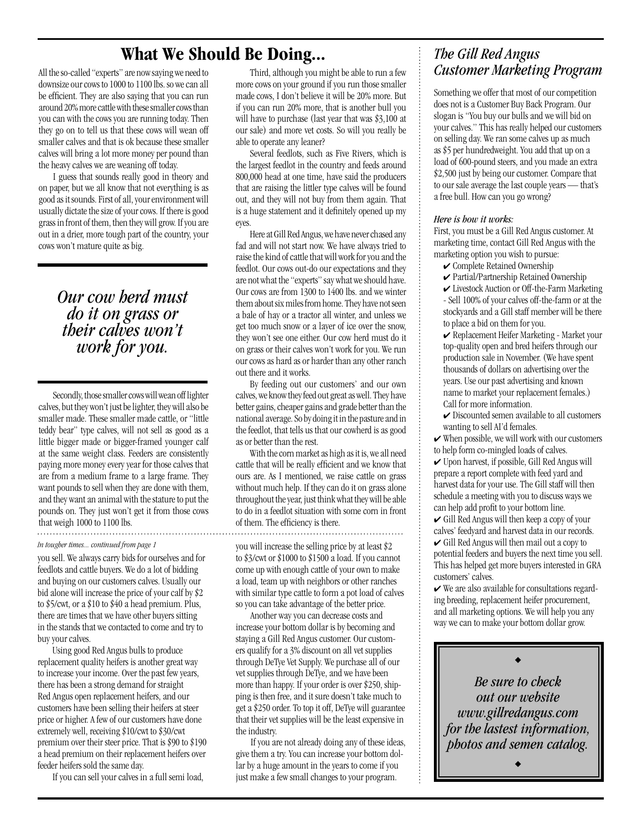# **What We Should Be Doing...**

All the so-called "experts" are now saying we need to downsize our cows to 1000 to 1100 lbs. so we can all be efficient. They are also saying that you can run around 20% more cattle with these smaller cows than you can with the cows you are running today. Then they go on to tell us that these cows will wean off smaller calves and that is ok because these smaller calves will bring a lot more money per pound than the heavy calves we are weaning off today.

 I guess that sounds really good in theory and on paper, but we all know that not everything is as good as it sounds. First of all, your environment will usually dictate the size of your cows. If there is good grass in front of them, then they will grow. If you are out in a drier, more tough part of the country, your cows won't mature quite as big.

> *Our cow herd must do it on grass or their calves won't work for you.*

 Secondly, those smaller cows will wean off lighter calves, but they won't just be lighter, they will also be smaller made. These smaller made cattle, or "little teddy bear" type calves, will not sell as good as a little bigger made or bigger-framed younger calf at the same weight class. Feeders are consistently paying more money every year for those calves that are from a medium frame to a large frame. They want pounds to sell when they are done with them, and they want an animal with the stature to put the pounds on. They just won't get it from those cows that weigh 1000 to 1100 lbs.

#### *In tougher times... continued from page 1*

you sell. We always carry bids for ourselves and for feedlots and cattle buyers. We do a lot of bidding and buying on our customers calves. Usually our bid alone will increase the price of your calf by \$2 to \$5/cwt, or a \$10 to \$40 a head premium. Plus, there are times that we have other buyers sitting in the stands that we contacted to come and try to buy your calves.

 Using good Red Angus bulls to produce replacement quality heifers is another great way to increase your income. Over the past few years, there has been a strong demand for straight Red Angus open replacement heifers, and our customers have been selling their heifers at steer price or higher. A few of our customers have done extremely well, receiving \$10/cwt to \$30/cwt premium over their steer price. That is \$90 to \$190 a head premium on their replacement heifers over feeder heifers sold the same day.

If you can sell your calves in a full semi load,

 Third, although you might be able to run a few more cows on your ground if you run those smaller made cows, I don't believe it will be 20% more. But if you can run 20% more, that is another bull you will have to purchase (last year that was \$3,100 at our sale) and more vet costs. So will you really be able to operate any leaner?

 Several feedlots, such as Five Rivers, which is the largest feedlot in the country and feeds around 800,000 head at one time, have said the producers that are raising the littler type calves will be found out, and they will not buy from them again. That is a huge statement and it definitely opened up my eyes.

 Here at Gill Red Angus, we have never chased any fad and will not start now. We have always tried to raise the kind of cattle that will work for you and the feedlot. Our cows out-do our expectations and they are not what the "experts" say what we should have. Our cows are from 1300 to 1400 lbs. and we winter them about six miles from home. They have not seen a bale of hay or a tractor all winter, and unless we get too much snow or a layer of ice over the snow, they won't see one either. Our cow herd must do it on grass or their calves won't work for you. We run our cows as hard as or harder than any other ranch out there and it works.

 By feeding out our customers' and our own calves, we know they feed out great as well. They have better gains, cheaper gains and grade better than the national average. So by doing it in the pasture and in the feedlot, that tells us that our cowherd is as good as or better than the rest.

 With the corn market as high as it is, we all need cattle that will be really efficient and we know that ours are. As I mentioned, we raise cattle on grass without much help. If they can do it on grass alone throughout the year, just think what they will be able to do in a feedlot situation with some corn in front of them. The efficiency is there.

you will increase the selling price by at least \$2 to \$3/cwt or \$1000 to \$1500 a load. If you cannot come up with enough cattle of your own to make a load, team up with neighbors or other ranches with similar type cattle to form a pot load of calves so you can take advantage of the better price.

 Another way you can decrease costs and increase your bottom dollar is by becoming and staying a Gill Red Angus customer. Our customers qualify for a 3% discount on all vet supplies through DeTye Vet Supply. We purchase all of our vet supplies through DeTye, and we have been more than happy. If your order is over \$250, shipping is then free, and it sure doesn't take much to get a \$250 order. To top it off, DeTye will guarantee that their vet supplies will be the least expensive in the industry.

 If you are not already doing any of these ideas, give them a try. You can increase your bottom dollar by a huge amount in the years to come if you just make a few small changes to your program.

## *The Gill Red Angus Customer Marketing Program*

Something we offer that most of our competition does not is a Customer Buy Back Program. Our slogan is "You buy our bulls and we will bid on your calves." This has really helped our customers on selling day. We ran some calves up as much as \$5 per hundredweight. You add that up on a load of 600-pound steers, and you made an extra \$2,500 just by being our customer. Compare that to our sale average the last couple years — that's a free bull. How can you go wrong?

#### *Here is how it works:*

First, you must be a Gill Red Angus customer. At marketing time, contact Gill Red Angus with the marketing option you wish to pursue:

- $\checkmark$  Complete Retained Ownership
- Partial/Partnership Retained Ownership

 $\checkmark$  Livestock Auction or Off-the-Farm Marketing - Sell 100% of your calves off-the-farm or at the stockyards and a Gill staff member will be there to place a bid on them for you.

Replacement Heifer Marketing - Market your top-quality open and bred heifers through our production sale in November. (We have spent thousands of dollars on advertising over the years. Use our past advertising and known name to market your replacement females.) Call for more information.

 $\triangleright$  Discounted semen available to all customers wanting to sell AI'd females.

 $\checkmark$  When possible, we will work with our customers to help form co-mingled loads of calves.

Upon harvest, if possible, Gill Red Angus will prepare a report complete with feed yard and harvest data for your use. The Gill staff will then schedule a meeting with you to discuss ways we can help add profit to your bottom line.

Gill Red Angus will then keep a copy of your calves' feedyard and harvest data in our records.  $\checkmark$  Gill Red Angus will then mail out a copy to

potential feeders and buyers the next time you sell. This has helped get more buyers interested in GRA customers' calves.

 $\checkmark$  We are also available for consultations regarding breeding, replacement heifer procurement, and all marketing options. We will help you any way we can to make your bottom dollar grow.

*Be sure to check out our website www.gillredangus.com for the lastest information, photos and semen catalog.*

 $\blacklozenge$ 

 $\blacklozenge$